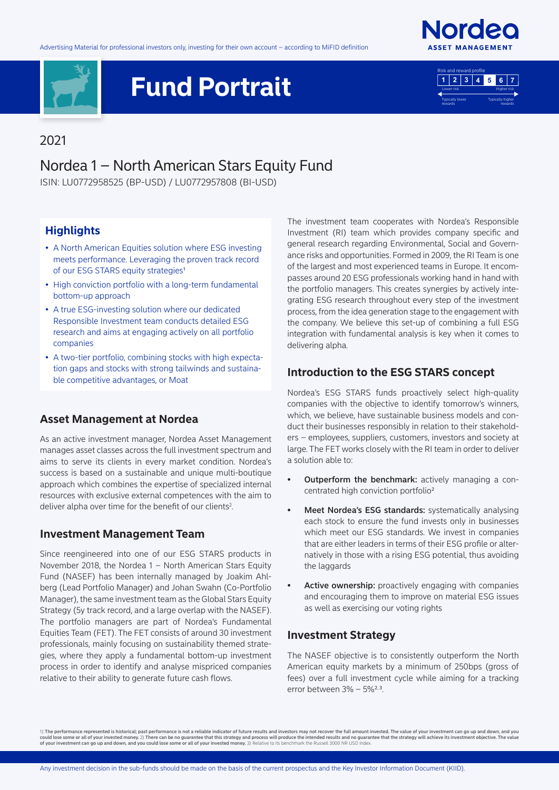



# **Fund Portrait**



#### 2021

### Nordea 1 – North American Stars Equity Fund

ISIN: LU0772958525 (BP-USD) / LU0772957808 (BI-USD)

#### **Highlights**

- A North American Equities solution where ESG investing meets performance. Leveraging the proven track record of our ESG STARS equity strategies<sup>1</sup>
- High conviction portfolio with a long-term fundamental bottom-up approach
- A true ESG-investing solution where our dedicated Responsible Investment team conducts detailed ESG research and aims at engaging actively on all portfolio companies
- A two-tier portfolio, combining stocks with high expectation gaps and stocks with strong tailwinds and sustainable competitive advantages, or Moat

#### **Asset Management at Nordea**

As an active investment manager, Nordea Asset Management manages asset classes across the full investment spectrum and aims to serve its clients in every market condition. Nordea's success is based on a sustainable and unique multi-boutique approach which combines the expertise of specialized internal resources with exclusive external competences with the aim to deliver alpha over time for the benefit of our clients<sup>2</sup>.

#### **Investment Management Team**

Since reengineered into one of our ESG STARS products in November 2018, the Nordea 1 – North American Stars Equity Fund (NASEF) has been internally managed by Joakim Ahlberg (Lead Portfolio Manager) and Johan Swahn (Co-Portfolio Manager), the same investment team as the Global Stars Equity Strategy (5y track record, and a large overlap with the NASEF). The portfolio managers are part of Nordea's Fundamental Equities Team (FET). The FET consists of around 30 investment professionals, mainly focusing on sustainability themed strategies, where they apply a fundamental bottom-up investment process in order to identify and analyse mispriced companies relative to their ability to generate future cash flows.

The investment team cooperates with Nordea's Responsible Investment (RI) team which provides company specific and general research regarding Environmental, Social and Governance risks and opportunities. Formed in 2009, the RI Team is one of the largest and most experienced teams in Europe. It encompasses around 20 ESG professionals working hand in hand with the portfolio managers. This creates synergies by actively integrating ESG research throughout every step of the investment process, from the idea generation stage to the engagement with the company. We believe this set-up of combining a full ESG integration with fundamental analysis is key when it comes to delivering alpha.

#### **Introduction to the ESG STARS concept**

Nordea's ESG STARS funds proactively select high-quality companies with the objective to identify tomorrow's winners, which, we believe, have sustainable business models and conduct their businesses responsibly in relation to their stakeholders – employees, suppliers, customers, investors and society at large. The FET works closely with the RI team in order to deliver a solution able to:

- **Outperform the benchmark:** actively managing a concentrated high conviction portfolio2
- Meet Nordea's ESG standards: systematically analysing each stock to ensure the fund invests only in businesses which meet our ESG standards. We invest in companies that are either leaders in terms of their ESG profile or alternatively in those with a rising ESG potential, thus avoiding the laggards
- Active ownership: proactively engaging with companies and encouraging them to improve on material ESG issues as well as exercising our voting rights

#### **Investment Strategy**

The NASEF objective is to consistently outperform the North American equity markets by a minimum of 250bps (gross of fees) over a full investment cycle while aiming for a tracking error between 3% - 5%<sup>2,3</sup>.

1) The performance represented is historical; past performance is not a reliable indicator of future results and investors may not recover the full amount invested. The value of your investment can go up and down, and you<br>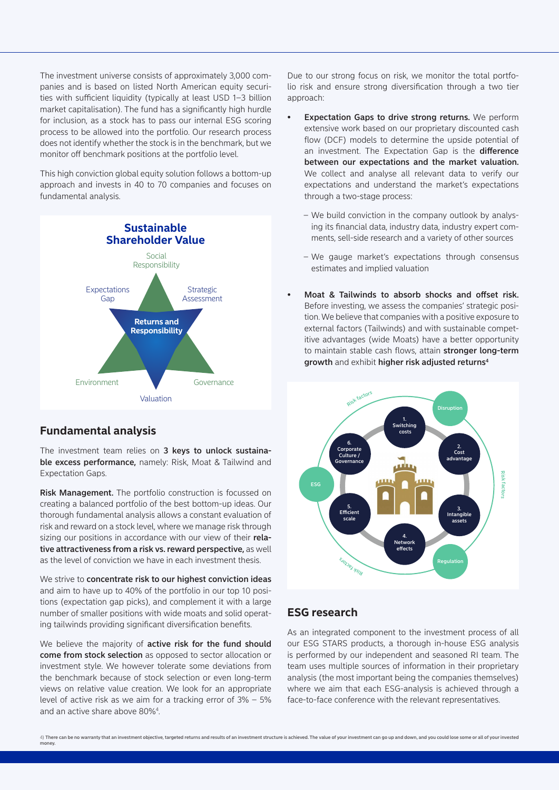The investment universe consists of approximately 3,000 companies and is based on listed North American equity securities with sufficient liquidity (typically at least USD 1–3 billion market capitalisation). The fund has a significantly high hurdle for inclusion, as a stock has to pass our internal ESG scoring process to be allowed into the portfolio. Our research process does not identify whether the stock is in the benchmark, but we monitor off benchmark positions at the portfolio level.

This high conviction global equity solution follows a bottom-up approach and invests in 40 to 70 companies and focuses on fundamental analysis.



#### **Fundamental analysis**

The investment team relies on 3 keys to unlock sustainable excess performance, namely: Risk, Moat & Tailwind and Expectation Gaps.

Risk Management. The portfolio construction is focussed on creating a balanced portfolio of the best bottom-up ideas. Our thorough fundamental analysis allows a constant evaluation of risk and reward on a stock level, where we manage risk through sizing our positions in accordance with our view of their relative attractiveness from a risk vs. reward perspective, as well as the level of conviction we have in each investment thesis.

We strive to concentrate risk to our highest conviction ideas and aim to have up to 40% of the portfolio in our top 10 positions (expectation gap picks), and complement it with a large number of smaller positions with wide moats and solid operating tailwinds providing significant diversification benefits.

We believe the majority of **active risk for the fund should** come from stock selection as opposed to sector allocation or investment style. We however tolerate some deviations from the benchmark because of stock selection or even long-term views on relative value creation. We look for an appropriate level of active risk as we aim for a tracking error of 3% – 5% and an active share above 80%4 .

Due to our strong focus on risk, we monitor the total portfolio risk and ensure strong diversification through a two tier approach:

- Expectation Gaps to drive strong returns. We perform extensive work based on our proprietary discounted cash flow (DCF) models to determine the upside potential of an investment. The Expectation Gap is the difference between our expectations and the market valuation. We collect and analyse all relevant data to verify our expectations and understand the market's expectations through a two-stage process:
	- We build conviction in the company outlook by analysing its financial data, industry data, industry expert comments, sell-side research and a variety of other sources
	- We gauge market's expectations through consensus estimates and implied valuation
- Moat & Tailwinds to absorb shocks and offset risk. Before investing, we assess the companies' strategic position. We believe that companies with a positive exposure to external factors (Tailwinds) and with sustainable competitive advantages (wide Moats) have a better opportunity to maintain stable cash flows, attain stronger long-term growth and exhibit higher risk adjusted returns<sup>4</sup>



#### **ESG research**

As an integrated component to the investment process of all our ESG STARS products, a thorough in-house ESG analysis is performed by our independent and seasoned RI team. The team uses multiple sources of information in their proprietary analysis (the most important being the companies themselves) where we aim that each ESG-analysis is achieved through a face-to-face conference with the relevant representatives.

<sup>4)</sup> There can be no warranty that an investment objective, targeted returns and results of an investment structure is achieved. The value of your investment can go up and down, and you could lose some or all of your investe money.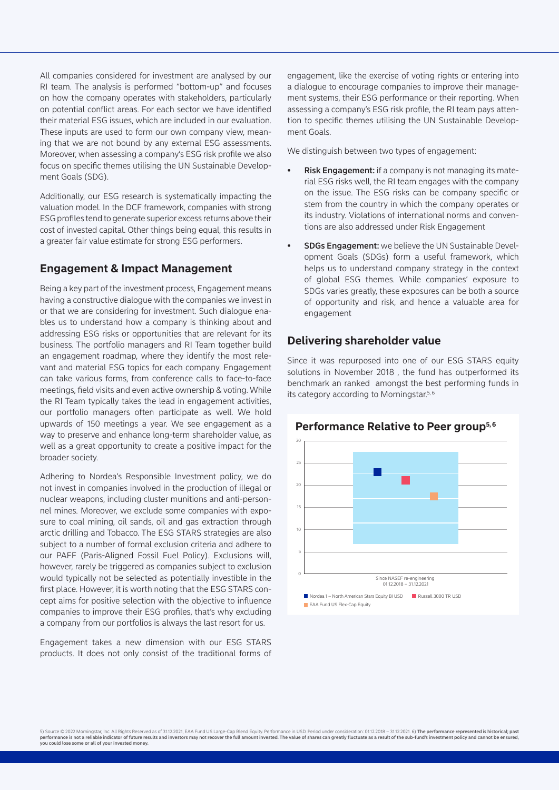All companies considered for investment are analysed by our RI team. The analysis is performed "bottom-up" and focuses on how the company operates with stakeholders, particularly on potential conflict areas. For each sector we have identified their material ESG issues, which are included in our evaluation. These inputs are used to form our own company view, meaning that we are not bound by any external ESG assessments. Moreover, when assessing a company's ESG risk profile we also focus on specific themes utilising the UN Sustainable Development Goals (SDG).

Additionally, our ESG research is systematically impacting the valuation model. In the DCF framework, companies with strong ESG profiles tend to generate superior excess returns above their cost of invested capital. Other things being equal, this results in a greater fair value estimate for strong ESG performers.

#### **Engagement & Impact Management**

Being a key part of the investment process, Engagement means having a constructive dialogue with the companies we invest in or that we are considering for investment. Such dialogue enables us to understand how a company is thinking about and addressing ESG risks or opportunities that are relevant for its business. The portfolio managers and RI Team together build an engagement roadmap, where they identify the most relevant and material ESG topics for each company. Engagement can take various forms, from conference calls to face-to-face meetings, field visits and even active ownership & voting. While the RI Team typically takes the lead in engagement activities, our portfolio managers often participate as well. We hold upwards of 150 meetings a year. We see engagement as a way to preserve and enhance long-term shareholder value, as well as a great opportunity to create a positive impact for the broader society.

Adhering to Nordea's Responsible Investment policy, we do not invest in companies involved in the production of illegal or nuclear weapons, including cluster munitions and anti-personnel mines. Moreover, we exclude some companies with exposure to coal mining, oil sands, oil and gas extraction through arctic drilling and Tobacco. The ESG STARS strategies are also subject to a number of formal exclusion criteria and adhere to our PAFF (Paris-Aligned Fossil Fuel Policy). Exclusions will, however, rarely be triggered as companies subject to exclusion would typically not be selected as potentially investible in the first place. However, it is worth noting that the ESG STARS concept aims for positive selection with the objective to influence companies to improve their ESG profiles, that's why excluding a company from our portfolios is always the last resort for us.

Engagement takes a new dimension with our ESG STARS products. It does not only consist of the traditional forms of engagement, like the exercise of voting rights or entering into a dialogue to encourage companies to improve their management systems, their ESG performance or their reporting. When assessing a company's ESG risk profile, the RI team pays attention to specific themes utilising the UN Sustainable Development Goals.

We distinguish between two types of engagement:

- **Risk Engagement:** if a company is not managing its material ESG risks well, the RI team engages with the company on the issue. The ESG risks can be company specific or stem from the country in which the company operates or its industry. Violations of international norms and conventions are also addressed under Risk Engagement
- SDGs Engagement: we believe the UN Sustainable Development Goals (SDGs) form a useful framework, which helps us to understand company strategy in the context of global ESG themes. While companies' exposure to SDGs varies greatly, these exposures can be both a source of opportunity and risk, and hence a valuable area for engagement

#### **Delivering shareholder value**

Since it was repurposed into one of our ESG STARS equity solutions in November 2018 , the fund has outperformed its benchmark an ranked amongst the best performing funds in its category according to Morningstar.<sup>5, 6</sup>

## **Performance Relative to Peer group5, 6**



5) Source © 2022 Morningstar, Inc. All Rights Reserved as of 31.12.021, EAA Fund US Large-Cap Blend Equity. Performance in USD. Period under consideration: 01.12.2018 – 31.12.2021. 6) **The performance represented is histor** you could lose some or all of your invested money.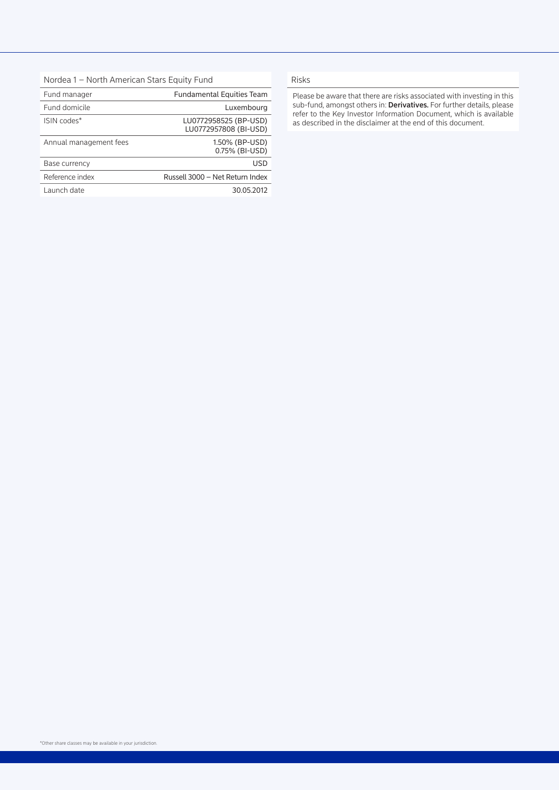| Nordea 1 - North American Stars Equity Fund |  |  |  |  |  |
|---------------------------------------------|--|--|--|--|--|
|---------------------------------------------|--|--|--|--|--|

| <b>Fundamental Equities Team</b>               |  |  |
|------------------------------------------------|--|--|
| Luxembourg                                     |  |  |
| LU0772958525 (BP-USD)<br>LU0772957808 (BI-USD) |  |  |
| 1.50% (BP-USD)<br>0.75% (BI-USD)               |  |  |
| USD                                            |  |  |
| Russell 3000 - Net Return Index                |  |  |
| 30.05.2012                                     |  |  |
|                                                |  |  |

#### Risks

Please be aware that there are risks associated with investing in this sub-fund, amongst others in: Derivatives. For further details, please refer to the Key Investor Information Document, which is available as described in the disclaimer at the end of this document.